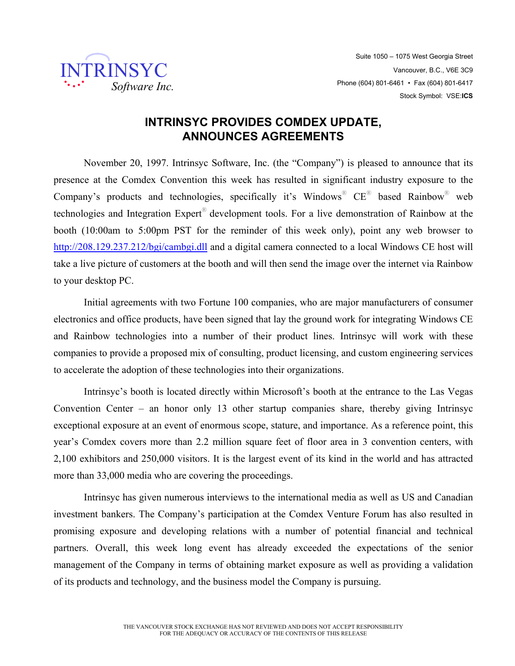

## **INTRINSYC PROVIDES COMDEX UPDATE, ANNOUNCES AGREEMENTS**

November 20, 1997. Intrinsyc Software, Inc. (the "Company") is pleased to announce that its presence at the Comdex Convention this week has resulted in significant industry exposure to the Company's products and technologies, specifically it's Windows<sup>®</sup>  $CE^\circledast$  based Rainbow<sup>®</sup> web technologies and Integration Expert® development tools. For a live demonstration of Rainbow at the booth (10:00am to 5:00pm PST for the reminder of this week only), point any web browser to http://208.129.237.212/bgi/cambgi.dll and a digital camera connected to a local Windows CE host will take a live picture of customers at the booth and will then send the image over the internet via Rainbow to your desktop PC.

Initial agreements with two Fortune 100 companies, who are major manufacturers of consumer electronics and office products, have been signed that lay the ground work for integrating Windows CE and Rainbow technologies into a number of their product lines. Intrinsyc will work with these companies to provide a proposed mix of consulting, product licensing, and custom engineering services to accelerate the adoption of these technologies into their organizations.

Intrinsyc's booth is located directly within Microsoft's booth at the entrance to the Las Vegas Convention Center – an honor only 13 other startup companies share, thereby giving Intrinsyc exceptional exposure at an event of enormous scope, stature, and importance. As a reference point, this year's Comdex covers more than 2.2 million square feet of floor area in 3 convention centers, with 2,100 exhibitors and 250,000 visitors. It is the largest event of its kind in the world and has attracted more than 33,000 media who are covering the proceedings.

Intrinsyc has given numerous interviews to the international media as well as US and Canadian investment bankers. The Company's participation at the Comdex Venture Forum has also resulted in promising exposure and developing relations with a number of potential financial and technical partners. Overall, this week long event has already exceeded the expectations of the senior management of the Company in terms of obtaining market exposure as well as providing a validation of its products and technology, and the business model the Company is pursuing.